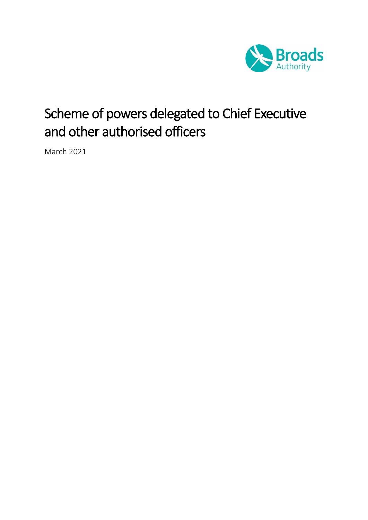

# Scheme of powers delegated to Chief Executive and other authorised officers

March 2021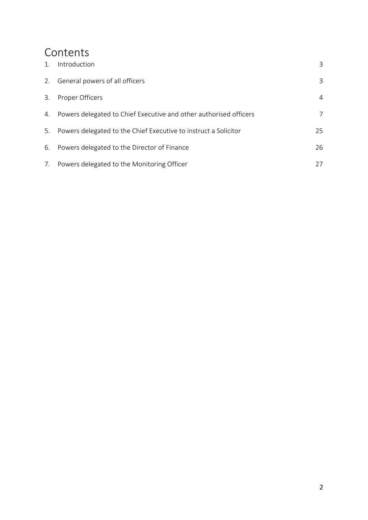## Contents

| 1. | Introduction                                                      | 3  |
|----|-------------------------------------------------------------------|----|
| 2. | General powers of all officers                                    | 3  |
| 3. | Proper Officers                                                   | 4  |
| 4. | Powers delegated to Chief Executive and other authorised officers | 7  |
| 5. | Powers delegated to the Chief Executive to instruct a Solicitor   | 25 |
|    | 6. Powers delegated to the Director of Finance                    | 26 |
| 7. | Powers delegated to the Monitoring Officer                        | 27 |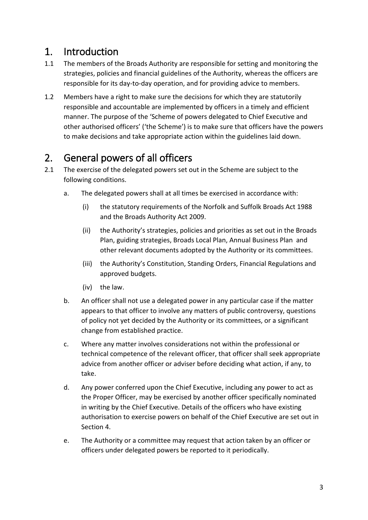## <span id="page-2-0"></span>1. Introduction

- 1.1 The members of the Broads Authority are responsible for setting and monitoring the strategies, policies and financial guidelines of the Authority, whereas the officers are responsible for its day-to-day operation, and for providing advice to members.
- 1.2 Members have a right to make sure the decisions for which they are statutorily responsible and accountable are implemented by officers in a timely and efficient manner. The purpose of the 'Scheme of powers delegated to Chief Executive and other authorised officers' ('the Scheme') is to make sure that officers have the powers to make decisions and take appropriate action within the guidelines laid down.

## <span id="page-2-1"></span>2. General powers of all officers

- 2.1 The exercise of the delegated powers set out in the Scheme are subject to the following conditions.
	- a. The delegated powers shall at all times be exercised in accordance with:
		- (i) the statutory requirements of the Norfolk and Suffolk Broads Act 1988 and the Broads Authority Act 2009.
		- (ii) the Authority's strategies, policies and priorities as set out in the Broads Plan, guiding strategies, Broads Local Plan, Annual Business Plan and other relevant documents adopted by the Authority or its committees.
		- (iii) the Authority's Constitution, Standing Orders, Financial Regulations and approved budgets.
		- (iv) the law.
	- b. An officer shall not use a delegated power in any particular case if the matter appears to that officer to involve any matters of public controversy, questions of policy not yet decided by the Authority or its committees, or a significant change from established practice.
	- c. Where any matter involves considerations not within the professional or technical competence of the relevant officer, that officer shall seek appropriate advice from another officer or adviser before deciding what action, if any, to take.
	- d. Any power conferred upon the Chief Executive, including any power to act as the Proper Officer, may be exercised by another officer specifically nominated in writing by the Chief Executive. Details of the officers who have existing authorisation to exercise powers on behalf of the Chief Executive are set out in Section 4.
	- e. The Authority or a committee may request that action taken by an officer or officers under delegated powers be reported to it periodically.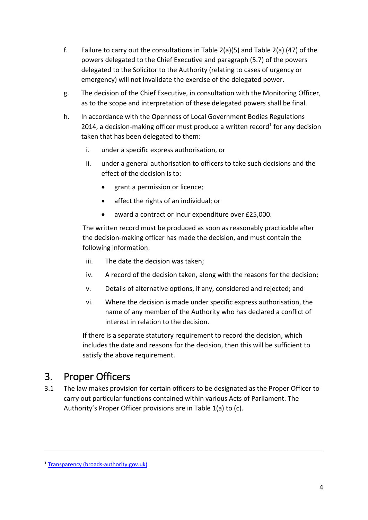- f. Failure to carry out the consultations in Table 2(a)(5) and Table 2(a) (47) of the powers delegated to the Chief Executive and paragraph (5.7) of the powers delegated to the Solicitor to the Authority (relating to cases of urgency or emergency) will not invalidate the exercise of the delegated power.
- g. The decision of the Chief Executive, in consultation with the Monitoring Officer, as to the scope and interpretation of these delegated powers shall be final.
- h. In accordance with the Openness of Local Government Bodies Regulations 2014, a decision-making officer must produce a written record<sup>1</sup> for any decision taken that has been delegated to them:
	- i. under a specific express authorisation, or
	- ii. under a general authorisation to officers to take such decisions and the effect of the decision is to:
		- grant a permission or licence;
		- affect the rights of an individual; or
		- award a contract or incur expenditure over £25,000.

The written record must be produced as soon as reasonably practicable after the decision-making officer has made the decision, and must contain the following information:

- iii. The date the decision was taken;
- iv. A record of the decision taken, along with the reasons for the decision;
- v. Details of alternative options, if any, considered and rejected; and
- vi. Where the decision is made under specific express authorisation, the name of any member of the Authority who has declared a conflict of interest in relation to the decision.

If there is a separate statutory requirement to record the decision, which includes the date and reasons for the decision, then this will be sufficient to satisfy the above requirement.

## <span id="page-3-0"></span>3. Proper Officers

3.1 The law makes provision for certain officers to be designated as the Proper Officer to carry out particular functions contained within various Acts of Parliament. The Authority's Proper Officer provisions are in Table 1(a) to (c).

<u>.</u>

<sup>1</sup> [Transparency \(broads-authority.gov.uk\)](https://www.broads-authority.gov.uk/about-us/how-we-work/transparency)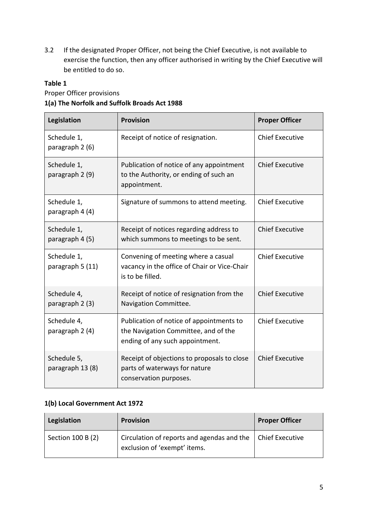3.2 If the designated Proper Officer, not being the Chief Executive, is not available to exercise the function, then any officer authorised in writing by the Chief Executive will be entitled to do so.

#### **Table 1**

Proper Officer provisions

#### **1(a) The Norfolk and Suffolk Broads Act 1988**

| Legislation                     | <b>Provision</b>                                                                                                    | <b>Proper Officer</b>  |
|---------------------------------|---------------------------------------------------------------------------------------------------------------------|------------------------|
| Schedule 1,<br>paragraph 2 (6)  | Receipt of notice of resignation.                                                                                   | <b>Chief Executive</b> |
| Schedule 1,<br>paragraph 2 (9)  | Publication of notice of any appointment<br>to the Authority, or ending of such an<br>appointment.                  | <b>Chief Executive</b> |
| Schedule 1,<br>paragraph 4 (4)  | Signature of summons to attend meeting.                                                                             | <b>Chief Executive</b> |
| Schedule 1,<br>paragraph 4 (5)  | Receipt of notices regarding address to<br>which summons to meetings to be sent.                                    | <b>Chief Executive</b> |
| Schedule 1,<br>paragraph 5 (11) | Convening of meeting where a casual<br>vacancy in the office of Chair or Vice-Chair<br>is to be filled.             | <b>Chief Executive</b> |
| Schedule 4,<br>paragraph 2 (3)  | Receipt of notice of resignation from the<br>Navigation Committee.                                                  | <b>Chief Executive</b> |
| Schedule 4,<br>paragraph 2 (4)  | Publication of notice of appointments to<br>the Navigation Committee, and of the<br>ending of any such appointment. | <b>Chief Executive</b> |
| Schedule 5,<br>paragraph 13 (8) | Receipt of objections to proposals to close<br>parts of waterways for nature<br>conservation purposes.              | <b>Chief Executive</b> |

#### **1(b) Local Government Act 1972**

| Legislation       | <b>Provision</b>                                                                                   | <b>Proper Officer</b> |
|-------------------|----------------------------------------------------------------------------------------------------|-----------------------|
| Section 100 B (2) | Circulation of reports and agendas and the $\vert$ Chief Executive<br>exclusion of 'exempt' items. |                       |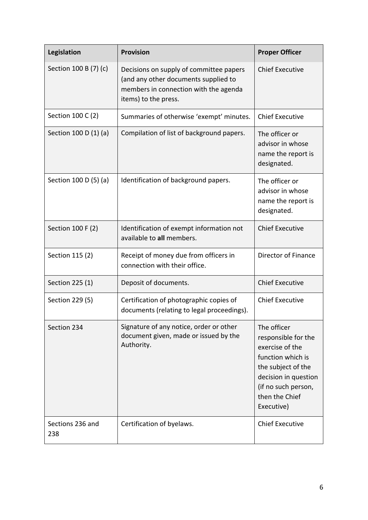| Legislation             | <b>Provision</b>                                                                                                                                 | <b>Proper Officer</b>                                                                                                                                                           |
|-------------------------|--------------------------------------------------------------------------------------------------------------------------------------------------|---------------------------------------------------------------------------------------------------------------------------------------------------------------------------------|
| Section 100 B (7) (c)   | Decisions on supply of committee papers<br>(and any other documents supplied to<br>members in connection with the agenda<br>items) to the press. | <b>Chief Executive</b>                                                                                                                                                          |
| Section 100 C (2)       | Summaries of otherwise 'exempt' minutes.                                                                                                         | <b>Chief Executive</b>                                                                                                                                                          |
| Section 100 D (1) (a)   | Compilation of list of background papers.                                                                                                        | The officer or<br>advisor in whose<br>name the report is<br>designated.                                                                                                         |
| Section 100 D (5) (a)   | Identification of background papers.                                                                                                             | The officer or<br>advisor in whose<br>name the report is<br>designated.                                                                                                         |
| Section 100 F (2)       | Identification of exempt information not<br>available to all members.                                                                            | <b>Chief Executive</b>                                                                                                                                                          |
| Section 115 (2)         | Receipt of money due from officers in<br>connection with their office.                                                                           | Director of Finance                                                                                                                                                             |
| Section 225 (1)         | Deposit of documents.                                                                                                                            | <b>Chief Executive</b>                                                                                                                                                          |
| Section 229 (5)         | Certification of photographic copies of<br>documents (relating to legal proceedings).                                                            | <b>Chief Executive</b>                                                                                                                                                          |
| Section 234             | Signature of any notice, order or other<br>document given, made or issued by the<br>Authority.                                                   | The officer<br>responsible for the<br>exercise of the<br>function which is<br>the subject of the<br>decision in question<br>(if no such person,<br>then the Chief<br>Executive) |
| Sections 236 and<br>238 | Certification of byelaws.                                                                                                                        | <b>Chief Executive</b>                                                                                                                                                          |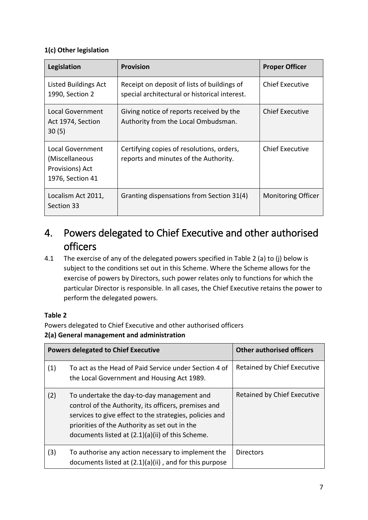### **1(c) Other legislation**

| Legislation                                                               | <b>Provision</b>                                                                             | <b>Proper Officer</b>     |
|---------------------------------------------------------------------------|----------------------------------------------------------------------------------------------|---------------------------|
| Listed Buildings Act<br>1990, Section 2                                   | Receipt on deposit of lists of buildings of<br>special architectural or historical interest. | <b>Chief Executive</b>    |
| Local Government<br>Act 1974, Section<br>30(5)                            | Giving notice of reports received by the<br>Authority from the Local Ombudsman.              | <b>Chief Executive</b>    |
| Local Government<br>(Miscellaneous<br>Provisions) Act<br>1976, Section 41 | Certifying copies of resolutions, orders,<br>reports and minutes of the Authority.           | <b>Chief Executive</b>    |
| Localism Act 2011,<br>Section 33                                          | Granting dispensations from Section 31(4)                                                    | <b>Monitoring Officer</b> |

## <span id="page-6-0"></span>4. Powers delegated to Chief Executive and other authorised officers

4.1 The exercise of any of the delegated powers specified in Table 2 (a) to (j) below is subject to the conditions set out in this Scheme. Where the Scheme allows for the exercise of powers by Directors, such power relates only to functions for which the particular Director is responsible. In all cases, the Chief Executive retains the power to perform the delegated powers.

### **Table 2**

Powers delegated to Chief Executive and other authorised officers **2(a) General management and administration**

|     | <b>Powers delegated to Chief Executive</b>                                                                                                                                                                                                                         | <b>Other authorised officers</b> |
|-----|--------------------------------------------------------------------------------------------------------------------------------------------------------------------------------------------------------------------------------------------------------------------|----------------------------------|
| (1) | To act as the Head of Paid Service under Section 4 of<br>the Local Government and Housing Act 1989.                                                                                                                                                                | Retained by Chief Executive      |
| (2) | To undertake the day-to-day management and<br>control of the Authority, its officers, premises and<br>services to give effect to the strategies, policies and<br>priorities of the Authority as set out in the<br>documents listed at (2.1)(a)(ii) of this Scheme. | Retained by Chief Executive      |
| (3) | To authorise any action necessary to implement the<br>documents listed at $(2.1)(a)(ii)$ , and for this purpose                                                                                                                                                    | <b>Directors</b>                 |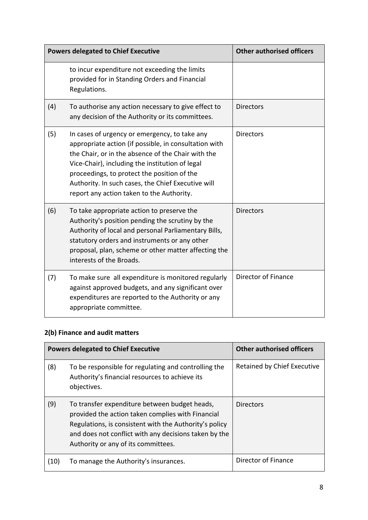|     | <b>Powers delegated to Chief Executive</b>                                                                                                                                                                                                                                                                                                                        | <b>Other authorised officers</b> |
|-----|-------------------------------------------------------------------------------------------------------------------------------------------------------------------------------------------------------------------------------------------------------------------------------------------------------------------------------------------------------------------|----------------------------------|
|     | to incur expenditure not exceeding the limits<br>provided for in Standing Orders and Financial<br>Regulations.                                                                                                                                                                                                                                                    |                                  |
| (4) | To authorise any action necessary to give effect to<br>any decision of the Authority or its committees.                                                                                                                                                                                                                                                           | <b>Directors</b>                 |
| (5) | In cases of urgency or emergency, to take any<br>appropriate action (if possible, in consultation with<br>the Chair, or in the absence of the Chair with the<br>Vice-Chair), including the institution of legal<br>proceedings, to protect the position of the<br>Authority. In such cases, the Chief Executive will<br>report any action taken to the Authority. | <b>Directors</b>                 |
| (6) | To take appropriate action to preserve the<br>Authority's position pending the scrutiny by the<br>Authority of local and personal Parliamentary Bills,<br>statutory orders and instruments or any other<br>proposal, plan, scheme or other matter affecting the<br>interests of the Broads.                                                                       | <b>Directors</b>                 |
| (7) | To make sure all expenditure is monitored regularly<br>against approved budgets, and any significant over<br>expenditures are reported to the Authority or any<br>appropriate committee.                                                                                                                                                                          | Director of Finance              |

### **2(b) Finance and audit matters**

|      | <b>Powers delegated to Chief Executive</b>                                                                                                                                                                                                                   | <b>Other authorised officers</b> |
|------|--------------------------------------------------------------------------------------------------------------------------------------------------------------------------------------------------------------------------------------------------------------|----------------------------------|
| (8)  | To be responsible for regulating and controlling the<br>Authority's financial resources to achieve its<br>objectives.                                                                                                                                        | Retained by Chief Executive      |
| (9)  | To transfer expenditure between budget heads,<br>provided the action taken complies with Financial<br>Regulations, is consistent with the Authority's policy<br>and does not conflict with any decisions taken by the<br>Authority or any of its committees. | <b>Directors</b>                 |
| (10) | To manage the Authority's insurances.                                                                                                                                                                                                                        | Director of Finance              |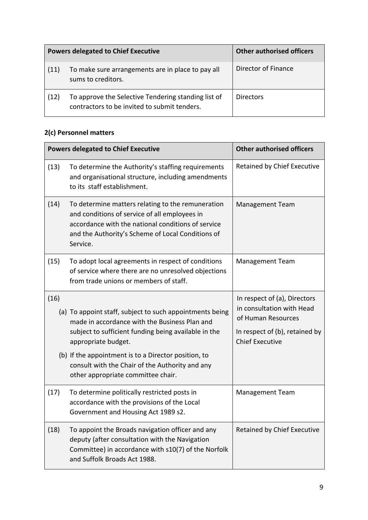|      | <b>Powers delegated to Chief Executive</b>                                                          | <b>Other authorised officers</b> |
|------|-----------------------------------------------------------------------------------------------------|----------------------------------|
| (11) | To make sure arrangements are in place to pay all<br>sums to creditors.                             | Director of Finance              |
| (12) | To approve the Selective Tendering standing list of<br>contractors to be invited to submit tenders. | <b>Directors</b>                 |

### **2(c) Personnel matters**

| <b>Powers delegated to Chief Executive</b> |                                                                                                                                                                                                                                                  | <b>Other authorised officers</b>                                                                                                            |
|--------------------------------------------|--------------------------------------------------------------------------------------------------------------------------------------------------------------------------------------------------------------------------------------------------|---------------------------------------------------------------------------------------------------------------------------------------------|
| (13)                                       | To determine the Authority's staffing requirements<br>and organisational structure, including amendments<br>to its staff establishment.                                                                                                          | Retained by Chief Executive                                                                                                                 |
| (14)                                       | To determine matters relating to the remuneration<br>and conditions of service of all employees in<br>accordance with the national conditions of service<br>and the Authority's Scheme of Local Conditions of<br>Service.                        | <b>Management Team</b>                                                                                                                      |
| (15)                                       | To adopt local agreements in respect of conditions<br>of service where there are no unresolved objections<br>from trade unions or members of staff.                                                                                              | <b>Management Team</b>                                                                                                                      |
| (16)                                       | (a) To appoint staff, subject to such appointments being<br>made in accordance with the Business Plan and<br>subject to sufficient funding being available in the<br>appropriate budget.<br>(b) If the appointment is to a Director position, to | In respect of (a), Directors<br>in consultation with Head<br>of Human Resources<br>In respect of (b), retained by<br><b>Chief Executive</b> |
|                                            | consult with the Chair of the Authority and any<br>other appropriate committee chair.                                                                                                                                                            |                                                                                                                                             |
| (17)                                       | To determine politically restricted posts in<br>accordance with the provisions of the Local<br>Government and Housing Act 1989 s2.                                                                                                               | <b>Management Team</b>                                                                                                                      |
| (18)                                       | To appoint the Broads navigation officer and any<br>deputy (after consultation with the Navigation<br>Committee) in accordance with s10(7) of the Norfolk<br>and Suffolk Broads Act 1988.                                                        | Retained by Chief Executive                                                                                                                 |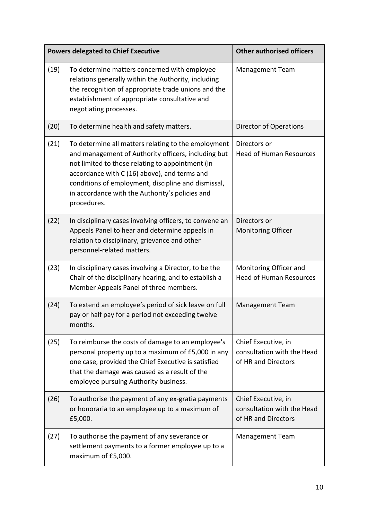| <b>Powers delegated to Chief Executive</b> |                                                                                                                                                                                                                                                                                                                                         | <b>Other authorised officers</b>                                         |
|--------------------------------------------|-----------------------------------------------------------------------------------------------------------------------------------------------------------------------------------------------------------------------------------------------------------------------------------------------------------------------------------------|--------------------------------------------------------------------------|
| (19)                                       | To determine matters concerned with employee<br>relations generally within the Authority, including<br>the recognition of appropriate trade unions and the<br>establishment of appropriate consultative and<br>negotiating processes.                                                                                                   | <b>Management Team</b>                                                   |
| (20)                                       | To determine health and safety matters.                                                                                                                                                                                                                                                                                                 | Director of Operations                                                   |
| (21)                                       | To determine all matters relating to the employment<br>and management of Authority officers, including but<br>not limited to those relating to appointment (in<br>accordance with C (16) above), and terms and<br>conditions of employment, discipline and dismissal,<br>in accordance with the Authority's policies and<br>procedures. | Directors or<br><b>Head of Human Resources</b>                           |
| (22)                                       | In disciplinary cases involving officers, to convene an<br>Appeals Panel to hear and determine appeals in<br>relation to disciplinary, grievance and other<br>personnel-related matters.                                                                                                                                                | Directors or<br><b>Monitoring Officer</b>                                |
| (23)                                       | In disciplinary cases involving a Director, to be the<br>Chair of the disciplinary hearing, and to establish a<br>Member Appeals Panel of three members.                                                                                                                                                                                | Monitoring Officer and<br><b>Head of Human Resources</b>                 |
| (24)                                       | To extend an employee's period of sick leave on full<br>pay or half pay for a period not exceeding twelve<br>months.                                                                                                                                                                                                                    | <b>Management Team</b>                                                   |
| (25)                                       | To reimburse the costs of damage to an employee's<br>personal property up to a maximum of £5,000 in any<br>one case, provided the Chief Executive is satisfied<br>that the damage was caused as a result of the<br>employee pursuing Authority business.                                                                                | Chief Executive, in<br>consultation with the Head<br>of HR and Directors |
| (26)                                       | To authorise the payment of any ex-gratia payments<br>or honoraria to an employee up to a maximum of<br>£5,000.                                                                                                                                                                                                                         | Chief Executive, in<br>consultation with the Head<br>of HR and Directors |
| (27)                                       | To authorise the payment of any severance or<br>settlement payments to a former employee up to a<br>maximum of £5,000.                                                                                                                                                                                                                  | <b>Management Team</b>                                                   |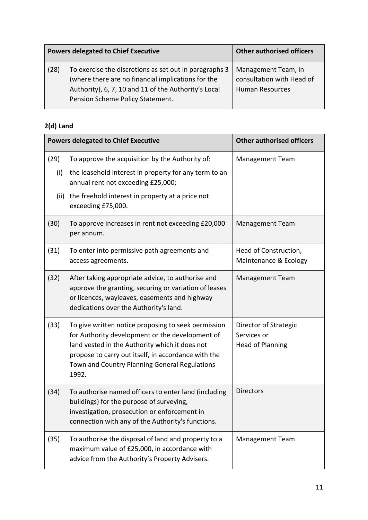| <b>Powers delegated to Chief Executive</b> |                                                                                                                                                                                                          | <b>Other authorised officers</b>                                           |
|--------------------------------------------|----------------------------------------------------------------------------------------------------------------------------------------------------------------------------------------------------------|----------------------------------------------------------------------------|
| (28)                                       | To exercise the discretions as set out in paragraphs 3<br>(where there are no financial implications for the<br>Authority), 6, 7, 10 and 11 of the Authority's Local<br>Pension Scheme Policy Statement. | Management Team, in<br>consultation with Head of<br><b>Human Resources</b> |

### **2(d) Land**

|      | <b>Powers delegated to Chief Executive</b>                                                                                                                                                                                                                                | <b>Other authorised officers</b>                                |
|------|---------------------------------------------------------------------------------------------------------------------------------------------------------------------------------------------------------------------------------------------------------------------------|-----------------------------------------------------------------|
| (29) | To approve the acquisition by the Authority of:                                                                                                                                                                                                                           | <b>Management Team</b>                                          |
| (i)  | the leasehold interest in property for any term to an<br>annual rent not exceeding £25,000;                                                                                                                                                                               |                                                                 |
| (ii) | the freehold interest in property at a price not<br>exceeding £75,000.                                                                                                                                                                                                    |                                                                 |
| (30) | To approve increases in rent not exceeding £20,000<br>per annum.                                                                                                                                                                                                          | <b>Management Team</b>                                          |
| (31) | To enter into permissive path agreements and<br>access agreements.                                                                                                                                                                                                        | Head of Construction,<br>Maintenance & Ecology                  |
| (32) | After taking appropriate advice, to authorise and<br>approve the granting, securing or variation of leases<br>or licences, wayleaves, easements and highway<br>dedications over the Authority's land.                                                                     | <b>Management Team</b>                                          |
| (33) | To give written notice proposing to seek permission<br>for Authority development or the development of<br>land vested in the Authority which it does not<br>propose to carry out itself, in accordance with the<br>Town and Country Planning General Regulations<br>1992. | Director of Strategic<br>Services or<br><b>Head of Planning</b> |
| (34) | To authorise named officers to enter land (including<br>buildings) for the purpose of surveying,<br>investigation, prosecution or enforcement in<br>connection with any of the Authority's functions.                                                                     | <b>Directors</b>                                                |
| (35) | To authorise the disposal of land and property to a<br>maximum value of £25,000, in accordance with<br>advice from the Authority's Property Advisers.                                                                                                                     | <b>Management Team</b>                                          |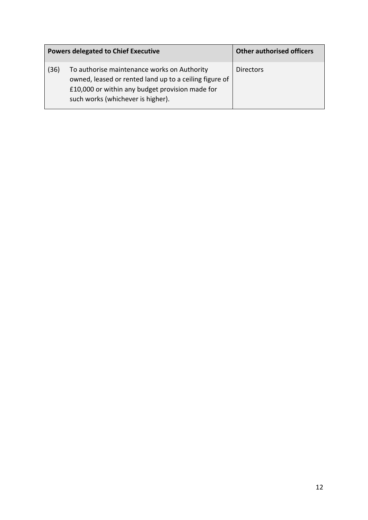| <b>Powers delegated to Chief Executive</b> |                                                                                                                                                                                               | <b>Other authorised officers</b> |
|--------------------------------------------|-----------------------------------------------------------------------------------------------------------------------------------------------------------------------------------------------|----------------------------------|
| (36)                                       | To authorise maintenance works on Authority<br>owned, leased or rented land up to a ceiling figure of<br>£10,000 or within any budget provision made for<br>such works (whichever is higher). | <b>Directors</b>                 |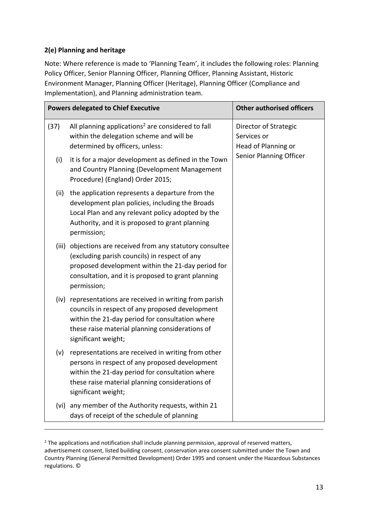#### **2(e) Planning and heritage**

-

Note: Where reference is made to 'Planning Team', it includes the following roles: Planning Policy Officer, Senior Planning Officer, Planning Officer, Planning Assistant, Historic Environment Manager, Planning Officer (Heritage), Planning Officer (Compliance and Implementation), and Planning administration team.

| <b>Powers delegated to Chief Executive</b> |                                                                                                                                                                                                                                          | <b>Other authorised officers</b>                                                       |
|--------------------------------------------|------------------------------------------------------------------------------------------------------------------------------------------------------------------------------------------------------------------------------------------|----------------------------------------------------------------------------------------|
| (37)                                       | All planning applications <sup>2</sup> are considered to fall<br>within the delegation scheme and will be<br>determined by officers, unless:                                                                                             | Director of Strategic<br>Services or<br>Head of Planning or<br>Senior Planning Officer |
| (i)                                        | it is for a major development as defined in the Town<br>and Country Planning (Development Management<br>Procedure) (England) Order 2015;                                                                                                 |                                                                                        |
| (ii)                                       | the application represents a departure from the<br>development plan policies, including the Broads<br>Local Plan and any relevant policy adopted by the<br>Authority, and it is proposed to grant planning<br>permission;                |                                                                                        |
|                                            | (iii) objections are received from any statutory consultee<br>(excluding parish councils) in respect of any<br>proposed development within the 21-day period for<br>consultation, and it is proposed to grant planning<br>permission;    |                                                                                        |
|                                            | (iv) representations are received in writing from parish<br>councils in respect of any proposed development<br>within the 21-day period for consultation where<br>these raise material planning considerations of<br>significant weight; |                                                                                        |
| (v)                                        | representations are received in writing from other<br>persons in respect of any proposed development<br>within the 21-day period for consultation where<br>these raise material planning considerations of<br>significant weight;        |                                                                                        |
| (vi)                                       | any member of the Authority requests, within 21<br>days of receipt of the schedule of planning                                                                                                                                           |                                                                                        |

 $2$  The applications and notification shall include planning permission, approval of reserved matters, advertisement consent, listed building consent, conservation area consent submitted under the Town and Country Planning (General Permitted Development) Order 1995 and consent under the Hazardous Substances regulations. ©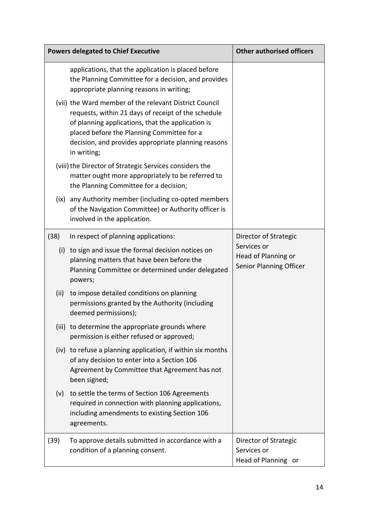|      | <b>Powers delegated to Chief Executive</b>                                                                                                                                                                                                                                             | <b>Other authorised officers</b>                              |
|------|----------------------------------------------------------------------------------------------------------------------------------------------------------------------------------------------------------------------------------------------------------------------------------------|---------------------------------------------------------------|
|      | applications, that the application is placed before<br>the Planning Committee for a decision, and provides<br>appropriate planning reasons in writing;                                                                                                                                 |                                                               |
|      | (vii) the Ward member of the relevant District Council<br>requests, within 21 days of receipt of the schedule<br>of planning applications, that the application is<br>placed before the Planning Committee for a<br>decision, and provides appropriate planning reasons<br>in writing; |                                                               |
|      | (viii) the Director of Strategic Services considers the<br>matter ought more appropriately to be referred to<br>the Planning Committee for a decision;                                                                                                                                 |                                                               |
|      | (ix) any Authority member (including co-opted members<br>of the Navigation Committee) or Authority officer is<br>involved in the application.                                                                                                                                          |                                                               |
| (38) | In respect of planning applications:                                                                                                                                                                                                                                                   | Director of Strategic                                         |
|      | (i) to sign and issue the formal decision notices on<br>planning matters that have been before the<br>Planning Committee or determined under delegated<br>powers;                                                                                                                      | Services or<br>Head of Planning or<br>Senior Planning Officer |
| (ii) | to impose detailed conditions on planning<br>permissions granted by the Authority (including<br>deemed permissions);                                                                                                                                                                   |                                                               |
|      | (iii) to determine the appropriate grounds where<br>permission is either refused or approved;                                                                                                                                                                                          |                                                               |
|      | (iv) to refuse a planning application, if within six months<br>of any decision to enter into a Section 106<br>Agreement by Committee that Agreement has not<br>been signed;                                                                                                            |                                                               |
| (v)  | to settle the terms of Section 106 Agreements<br>required in connection with planning applications,<br>including amendments to existing Section 106<br>agreements.                                                                                                                     |                                                               |
| (39) | To approve details submitted in accordance with a<br>condition of a planning consent.                                                                                                                                                                                                  | Director of Strategic<br>Services or<br>Head of Planning or   |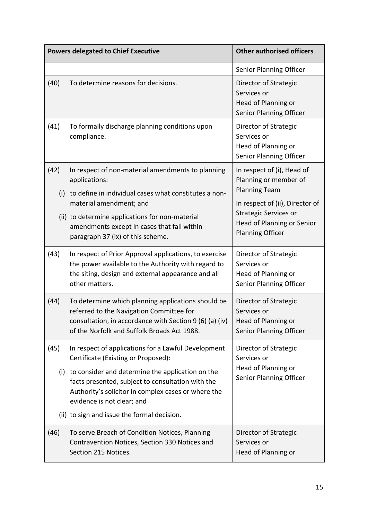|             | <b>Powers delegated to Chief Executive</b>                                                                                                                                                               | <b>Other authorised officers</b>                                                                                         |
|-------------|----------------------------------------------------------------------------------------------------------------------------------------------------------------------------------------------------------|--------------------------------------------------------------------------------------------------------------------------|
|             |                                                                                                                                                                                                          | Senior Planning Officer                                                                                                  |
| (40)        | To determine reasons for decisions.                                                                                                                                                                      | Director of Strategic<br>Services or<br>Head of Planning or<br>Senior Planning Officer                                   |
| (41)        | To formally discharge planning conditions upon<br>compliance.                                                                                                                                            | Director of Strategic<br>Services or<br>Head of Planning or<br>Senior Planning Officer                                   |
| (42)<br>(i) | In respect of non-material amendments to planning<br>applications:<br>to define in individual cases what constitutes a non-                                                                              | In respect of (i), Head of<br>Planning or member of<br><b>Planning Team</b>                                              |
|             | material amendment; and<br>(ii) to determine applications for non-material<br>amendments except in cases that fall within<br>paragraph 37 (ix) of this scheme.                                           | In respect of (ii), Director of<br><b>Strategic Services or</b><br>Head of Planning or Senior<br><b>Planning Officer</b> |
| (43)        | In respect of Prior Approval applications, to exercise<br>the power available to the Authority with regard to<br>the siting, design and external appearance and all<br>other matters.                    | Director of Strategic<br>Services or<br>Head of Planning or<br>Senior Planning Officer                                   |
| (44)        | To determine which planning applications should be<br>referred to the Navigation Committee for<br>consultation, in accordance with Section 9 (6) (a) (iv)<br>of the Norfolk and Suffolk Broads Act 1988. | Director of Strategic<br>Services or<br>Head of Planning or<br>Senior Planning Officer                                   |
| (45)        | In respect of applications for a Lawful Development<br>Certificate (Existing or Proposed):                                                                                                               | Director of Strategic<br>Services or                                                                                     |
|             | (i) to consider and determine the application on the<br>facts presented, subject to consultation with the<br>Authority's solicitor in complex cases or where the<br>evidence is not clear; and           | Head of Planning or<br>Senior Planning Officer                                                                           |
|             | (ii) to sign and issue the formal decision.                                                                                                                                                              |                                                                                                                          |
| (46)        | To serve Breach of Condition Notices, Planning<br>Contravention Notices, Section 330 Notices and<br>Section 215 Notices.                                                                                 | Director of Strategic<br>Services or<br>Head of Planning or                                                              |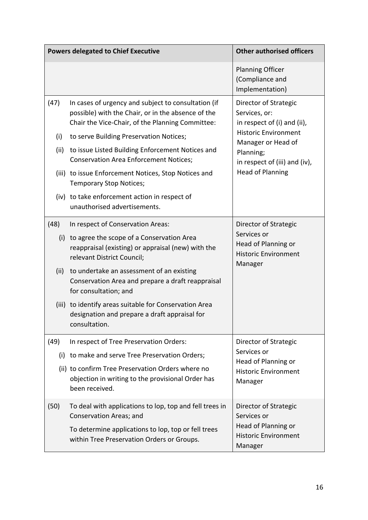|      | <b>Powers delegated to Chief Executive</b>                                                                                                                    | <b>Other authorised officers</b>                                             |
|------|---------------------------------------------------------------------------------------------------------------------------------------------------------------|------------------------------------------------------------------------------|
|      |                                                                                                                                                               | <b>Planning Officer</b><br>(Compliance and<br>Implementation)                |
| (47) | In cases of urgency and subject to consultation (if<br>possible) with the Chair, or in the absence of the<br>Chair the Vice-Chair, of the Planning Committee: | Director of Strategic<br>Services, or:<br>in respect of (i) and (ii),        |
| (i)  | to serve Building Preservation Notices;                                                                                                                       | <b>Historic Environment</b><br>Manager or Head of                            |
| (ii) | to issue Listed Building Enforcement Notices and<br><b>Conservation Area Enforcement Notices;</b>                                                             | Planning;<br>in respect of (iii) and (iv),                                   |
|      | (iii) to issue Enforcement Notices, Stop Notices and<br><b>Temporary Stop Notices;</b>                                                                        | <b>Head of Planning</b>                                                      |
|      | (iv) to take enforcement action in respect of<br>unauthorised advertisements.                                                                                 |                                                                              |
| (48) | In respect of Conservation Areas:                                                                                                                             | Director of Strategic                                                        |
|      | (i) to agree the scope of a Conservation Area<br>reappraisal (existing) or appraisal (new) with the<br>relevant District Council;                             | Services or<br>Head of Planning or<br><b>Historic Environment</b><br>Manager |
| (ii) | to undertake an assessment of an existing<br>Conservation Area and prepare a draft reappraisal<br>for consultation; and                                       |                                                                              |
|      | (iii) to identify areas suitable for Conservation Area<br>designation and prepare a draft appraisal for<br>consultation.                                      |                                                                              |
| (49) | In respect of Tree Preservation Orders:                                                                                                                       | Director of Strategic                                                        |
| (i)  | to make and serve Tree Preservation Orders;                                                                                                                   | Services or<br>Head of Planning or<br><b>Historic Environment</b><br>Manager |
|      | (ii) to confirm Tree Preservation Orders where no<br>objection in writing to the provisional Order has<br>been received.                                      |                                                                              |
| (50) | To deal with applications to lop, top and fell trees in<br>Conservation Areas; and                                                                            | Director of Strategic<br>Services or                                         |
|      | To determine applications to lop, top or fell trees<br>within Tree Preservation Orders or Groups.                                                             | Head of Planning or<br><b>Historic Environment</b><br>Manager                |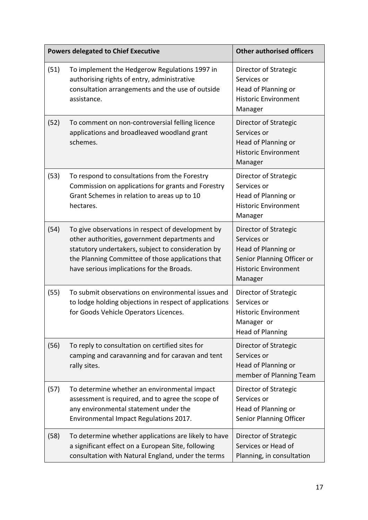|      | <b>Powers delegated to Chief Executive</b>                                                                                                                                                                                                                 | <b>Other authorised officers</b>                                                                                                    |
|------|------------------------------------------------------------------------------------------------------------------------------------------------------------------------------------------------------------------------------------------------------------|-------------------------------------------------------------------------------------------------------------------------------------|
| (51) | To implement the Hedgerow Regulations 1997 in<br>authorising rights of entry, administrative<br>consultation arrangements and the use of outside<br>assistance.                                                                                            | Director of Strategic<br>Services or<br>Head of Planning or<br><b>Historic Environment</b><br>Manager                               |
| (52) | To comment on non-controversial felling licence<br>applications and broadleaved woodland grant<br>schemes.                                                                                                                                                 | Director of Strategic<br>Services or<br>Head of Planning or<br><b>Historic Environment</b><br>Manager                               |
| (53) | To respond to consultations from the Forestry<br>Commission on applications for grants and Forestry<br>Grant Schemes in relation to areas up to 10<br>hectares.                                                                                            | Director of Strategic<br>Services or<br>Head of Planning or<br><b>Historic Environment</b><br>Manager                               |
| (54) | To give observations in respect of development by<br>other authorities, government departments and<br>statutory undertakers, subject to consideration by<br>the Planning Committee of those applications that<br>have serious implications for the Broads. | Director of Strategic<br>Services or<br>Head of Planning or<br>Senior Planning Officer or<br><b>Historic Environment</b><br>Manager |
| (55) | To submit observations on environmental issues and<br>to lodge holding objections in respect of applications<br>for Goods Vehicle Operators Licences.                                                                                                      | Director of Strategic<br>Services or<br><b>Historic Environment</b><br>Manager or<br><b>Head of Planning</b>                        |
| (56) | To reply to consultation on certified sites for<br>camping and caravanning and for caravan and tent<br>rally sites.                                                                                                                                        | Director of Strategic<br>Services or<br>Head of Planning or<br>member of Planning Team                                              |
| (57) | To determine whether an environmental impact<br>assessment is required, and to agree the scope of<br>any environmental statement under the<br>Environmental Impact Regulations 2017.                                                                       | Director of Strategic<br>Services or<br>Head of Planning or<br>Senior Planning Officer                                              |
| (58) | To determine whether applications are likely to have<br>a significant effect on a European Site, following<br>consultation with Natural England, under the terms                                                                                           | Director of Strategic<br>Services or Head of<br>Planning, in consultation                                                           |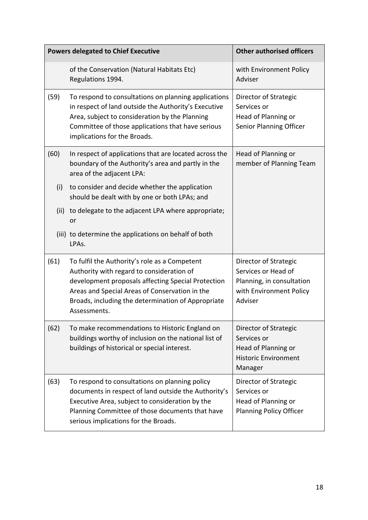| <b>Powers delegated to Chief Executive</b> |                                                                                                                                                                                                                                                                          | <b>Other authorised officers</b>                                                                                |
|--------------------------------------------|--------------------------------------------------------------------------------------------------------------------------------------------------------------------------------------------------------------------------------------------------------------------------|-----------------------------------------------------------------------------------------------------------------|
|                                            | of the Conservation (Natural Habitats Etc)<br>Regulations 1994.                                                                                                                                                                                                          | with Environment Policy<br>Adviser                                                                              |
| (59)                                       | To respond to consultations on planning applications<br>in respect of land outside the Authority's Executive<br>Area, subject to consideration by the Planning<br>Committee of those applications that have serious<br>implications for the Broads.                      | Director of Strategic<br>Services or<br>Head of Planning or<br>Senior Planning Officer                          |
| (60)                                       | In respect of applications that are located across the<br>boundary of the Authority's area and partly in the<br>area of the adjacent LPA:                                                                                                                                | Head of Planning or<br>member of Planning Team                                                                  |
| (i)                                        | to consider and decide whether the application<br>should be dealt with by one or both LPAs; and                                                                                                                                                                          |                                                                                                                 |
| (ii)                                       | to delegate to the adjacent LPA where appropriate;<br>or                                                                                                                                                                                                                 |                                                                                                                 |
|                                            | (iii) to determine the applications on behalf of both<br>LPAs.                                                                                                                                                                                                           |                                                                                                                 |
| (61)                                       | To fulfil the Authority's role as a Competent<br>Authority with regard to consideration of<br>development proposals affecting Special Protection<br>Areas and Special Areas of Conservation in the<br>Broads, including the determination of Appropriate<br>Assessments. | Director of Strategic<br>Services or Head of<br>Planning, in consultation<br>with Environment Policy<br>Adviser |
| (62)                                       | To make recommendations to Historic England on<br>buildings worthy of inclusion on the national list of<br>buildings of historical or special interest.                                                                                                                  | Director of Strategic<br>Services or<br>Head of Planning or<br><b>Historic Environment</b><br>Manager           |
| (63)                                       | To respond to consultations on planning policy<br>documents in respect of land outside the Authority's<br>Executive Area, subject to consideration by the<br>Planning Committee of those documents that have<br>serious implications for the Broads.                     | Director of Strategic<br>Services or<br>Head of Planning or<br><b>Planning Policy Officer</b>                   |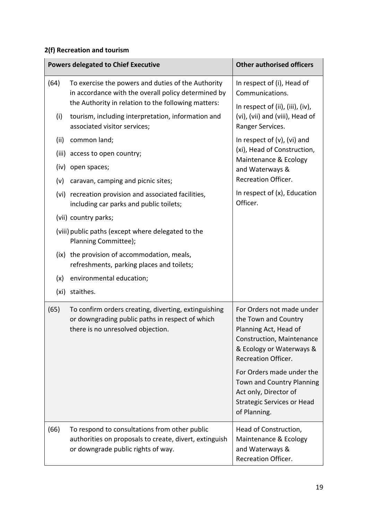## **2(f) Recreation and tourism**

|      | <b>Powers delegated to Chief Executive</b>                                                                                                                       | <b>Other authorised officers</b>                                                                                                                                  |
|------|------------------------------------------------------------------------------------------------------------------------------------------------------------------|-------------------------------------------------------------------------------------------------------------------------------------------------------------------|
| (64) | To exercise the powers and duties of the Authority<br>in accordance with the overall policy determined by<br>the Authority in relation to the following matters: | In respect of (i), Head of<br>Communications.<br>In respect of (ii), (iii), (iv),                                                                                 |
| (i)  | tourism, including interpretation, information and<br>associated visitor services;                                                                               | (vi), (vii) and (viii), Head of<br>Ranger Services.                                                                                                               |
| (ii) | common land;                                                                                                                                                     | In respect of $(v)$ , $(vi)$ and                                                                                                                                  |
|      | (iii) access to open country;                                                                                                                                    | (xi), Head of Construction,<br>Maintenance & Ecology                                                                                                              |
| (iv) | open spaces;                                                                                                                                                     | and Waterways &                                                                                                                                                   |
| (v)  | caravan, camping and picnic sites;                                                                                                                               | <b>Recreation Officer.</b>                                                                                                                                        |
|      | (vi) recreation provision and associated facilities,<br>including car parks and public toilets;                                                                  | In respect of $(x)$ , Education<br>Officer.                                                                                                                       |
|      | (vii) country parks;                                                                                                                                             |                                                                                                                                                                   |
|      | (viii) public paths (except where delegated to the<br>Planning Committee);                                                                                       |                                                                                                                                                                   |
|      | (ix) the provision of accommodation, meals,<br>refreshments, parking places and toilets;                                                                         |                                                                                                                                                                   |
| (x)  | environmental education;                                                                                                                                         |                                                                                                                                                                   |
|      | (xi) staithes.                                                                                                                                                   |                                                                                                                                                                   |
| (65) | To confirm orders creating, diverting, extinguishing<br>or downgrading public paths in respect of which<br>there is no unresolved objection.                     | For Orders not made under<br>the Town and Country<br>Planning Act, Head of<br>Construction, Maintenance<br>& Ecology or Waterways &<br><b>Recreation Officer.</b> |
|      |                                                                                                                                                                  | For Orders made under the<br>Town and Country Planning<br>Act only, Director of<br><b>Strategic Services or Head</b><br>of Planning.                              |
| (66) | To respond to consultations from other public<br>authorities on proposals to create, divert, extinguish<br>or downgrade public rights of way.                    | Head of Construction,<br>Maintenance & Ecology<br>and Waterways &<br><b>Recreation Officer.</b>                                                                   |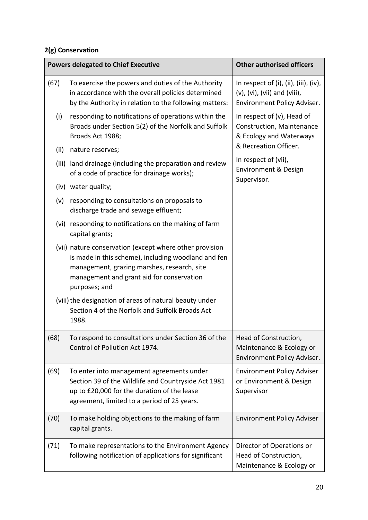### **2(g) Conservation**

|      | <b>Powers delegated to Chief Executive</b>                                                                                                                                                                                  | <b>Other authorised officers</b>                                                                                 |
|------|-----------------------------------------------------------------------------------------------------------------------------------------------------------------------------------------------------------------------------|------------------------------------------------------------------------------------------------------------------|
| (67) | To exercise the powers and duties of the Authority<br>in accordance with the overall policies determined<br>by the Authority in relation to the following matters:                                                          | In respect of $(i)$ , $(ii)$ , $(iii)$ , $(iv)$ ,<br>(v), (vi), (vii) and (viii),<br>Environment Policy Adviser. |
| (i)  | responding to notifications of operations within the<br>Broads under Section 5(2) of the Norfolk and Suffolk<br>Broads Act 1988;                                                                                            | In respect of (v), Head of<br>Construction, Maintenance<br>& Ecology and Waterways                               |
| (ii) | nature reserves;                                                                                                                                                                                                            | & Recreation Officer.                                                                                            |
|      | (iii) land drainage (including the preparation and review<br>of a code of practice for drainage works);                                                                                                                     | In respect of (vii),<br>Environment & Design<br>Supervisor.                                                      |
|      | (iv) water quality;                                                                                                                                                                                                         |                                                                                                                  |
| (v)  | responding to consultations on proposals to<br>discharge trade and sewage effluent;                                                                                                                                         |                                                                                                                  |
|      | (vi) responding to notifications on the making of farm<br>capital grants;                                                                                                                                                   |                                                                                                                  |
|      | (vii) nature conservation (except where other provision<br>is made in this scheme), including woodland and fen<br>management, grazing marshes, research, site<br>management and grant aid for conservation<br>purposes; and |                                                                                                                  |
|      | (viii) the designation of areas of natural beauty under<br>Section 4 of the Norfolk and Suffolk Broads Act<br>1988.                                                                                                         |                                                                                                                  |
| (68) | To respond to consultations under Section 36 of the<br>Control of Pollution Act 1974.                                                                                                                                       | Head of Construction,<br>Maintenance & Ecology or<br>Environment Policy Adviser.                                 |
| (69) | To enter into management agreements under<br>Section 39 of the Wildlife and Countryside Act 1981<br>up to £20,000 for the duration of the lease<br>agreement, limited to a period of 25 years.                              | <b>Environment Policy Adviser</b><br>or Environment & Design<br>Supervisor                                       |
| (70) | To make holding objections to the making of farm<br>capital grants.                                                                                                                                                         | <b>Environment Policy Adviser</b>                                                                                |
| (71) | To make representations to the Environment Agency<br>following notification of applications for significant                                                                                                                 | Director of Operations or<br>Head of Construction,<br>Maintenance & Ecology or                                   |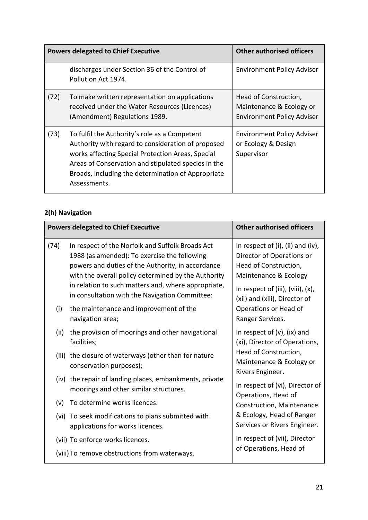|      | <b>Powers delegated to Chief Executive</b>                                                                                                                                                                                                                                            | <b>Other authorised officers</b>                                                       |
|------|---------------------------------------------------------------------------------------------------------------------------------------------------------------------------------------------------------------------------------------------------------------------------------------|----------------------------------------------------------------------------------------|
|      | discharges under Section 36 of the Control of<br>Pollution Act 1974.                                                                                                                                                                                                                  | <b>Environment Policy Adviser</b>                                                      |
| (72) | To make written representation on applications<br>received under the Water Resources (Licences)<br>(Amendment) Regulations 1989.                                                                                                                                                      | Head of Construction,<br>Maintenance & Ecology or<br><b>Environment Policy Adviser</b> |
| (73) | To fulfil the Authority's role as a Competent<br>Authority with regard to consideration of proposed<br>works affecting Special Protection Areas, Special<br>Areas of Conservation and stipulated species in the<br>Broads, including the determination of Appropriate<br>Assessments. | <b>Environment Policy Adviser</b><br>or Ecology & Design<br>Supervisor                 |

### **2(h) Navigation**

| <b>Powers delegated to Chief Executive</b> |                                                                                                                                                                                                                                                                                                                       | <b>Other authorised officers</b>                                                                                                                                                               |
|--------------------------------------------|-----------------------------------------------------------------------------------------------------------------------------------------------------------------------------------------------------------------------------------------------------------------------------------------------------------------------|------------------------------------------------------------------------------------------------------------------------------------------------------------------------------------------------|
| (74)                                       | In respect of the Norfolk and Suffolk Broads Act<br>1988 (as amended): To exercise the following<br>powers and duties of the Authority, in accordance<br>with the overall policy determined by the Authority<br>in relation to such matters and, where appropriate,<br>in consultation with the Navigation Committee: | In respect of $(i)$ , $(ii)$ and $(iv)$ ,<br>Director of Operations or<br>Head of Construction,<br>Maintenance & Ecology<br>In respect of (iii), (viii), (x),<br>(xii) and (xiii), Director of |
| (i)                                        | the maintenance and improvement of the<br>navigation area;                                                                                                                                                                                                                                                            | Operations or Head of<br>Ranger Services.                                                                                                                                                      |
| (ii)                                       | the provision of moorings and other navigational<br>facilities;                                                                                                                                                                                                                                                       | In respect of $(v)$ , $(ix)$ and<br>(xi), Director of Operations,                                                                                                                              |
|                                            | (iii) the closure of waterways (other than for nature<br>conservation purposes);                                                                                                                                                                                                                                      | Head of Construction,<br>Maintenance & Ecology or<br>Rivers Engineer.<br>In respect of (vi), Director of<br>Operations, Head of<br>Construction, Maintenance                                   |
| (iv)                                       | the repair of landing places, embankments, private<br>moorings and other similar structures.                                                                                                                                                                                                                          |                                                                                                                                                                                                |
| (v)                                        | To determine works licences.                                                                                                                                                                                                                                                                                          |                                                                                                                                                                                                |
|                                            | (vi) To seek modifications to plans submitted with<br>applications for works licences.                                                                                                                                                                                                                                | & Ecology, Head of Ranger<br>Services or Rivers Engineer.                                                                                                                                      |
|                                            | (vii) To enforce works licences.<br>(viii) To remove obstructions from waterways.                                                                                                                                                                                                                                     | In respect of (vii), Director<br>of Operations, Head of                                                                                                                                        |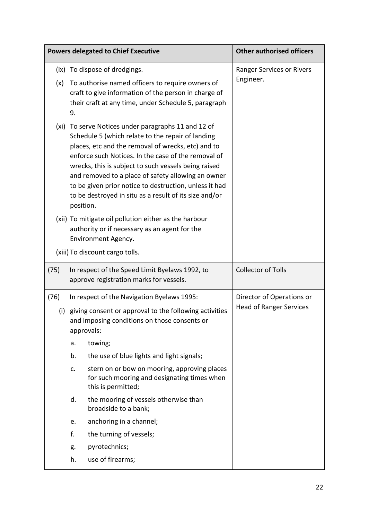| <b>Powers delegated to Chief Executive</b> |                                                                                                                                                                                                                                                                                                                                                                                                                                                                      |                                                                                                                                                                  | <b>Other authorised officers</b>                            |
|--------------------------------------------|----------------------------------------------------------------------------------------------------------------------------------------------------------------------------------------------------------------------------------------------------------------------------------------------------------------------------------------------------------------------------------------------------------------------------------------------------------------------|------------------------------------------------------------------------------------------------------------------------------------------------------------------|-------------------------------------------------------------|
|                                            |                                                                                                                                                                                                                                                                                                                                                                                                                                                                      | (ix) To dispose of dredgings.                                                                                                                                    | Ranger Services or Rivers                                   |
| (x)                                        | 9.                                                                                                                                                                                                                                                                                                                                                                                                                                                                   | To authorise named officers to require owners of<br>craft to give information of the person in charge of<br>their craft at any time, under Schedule 5, paragraph | Engineer.                                                   |
|                                            | (xi) To serve Notices under paragraphs 11 and 12 of<br>Schedule 5 (which relate to the repair of landing<br>places, etc and the removal of wrecks, etc) and to<br>enforce such Notices. In the case of the removal of<br>wrecks, this is subject to such vessels being raised<br>and removed to a place of safety allowing an owner<br>to be given prior notice to destruction, unless it had<br>to be destroyed in situ as a result of its size and/or<br>position. |                                                                                                                                                                  |                                                             |
|                                            |                                                                                                                                                                                                                                                                                                                                                                                                                                                                      | (xii) To mitigate oil pollution either as the harbour<br>authority or if necessary as an agent for the<br>Environment Agency.                                    |                                                             |
|                                            | (xiii) To discount cargo tolls.                                                                                                                                                                                                                                                                                                                                                                                                                                      |                                                                                                                                                                  |                                                             |
| (75)                                       |                                                                                                                                                                                                                                                                                                                                                                                                                                                                      | In respect of the Speed Limit Byelaws 1992, to<br>approve registration marks for vessels.                                                                        | <b>Collector of Tolls</b>                                   |
| (76)                                       |                                                                                                                                                                                                                                                                                                                                                                                                                                                                      | In respect of the Navigation Byelaws 1995:                                                                                                                       | Director of Operations or<br><b>Head of Ranger Services</b> |
|                                            |                                                                                                                                                                                                                                                                                                                                                                                                                                                                      | (i) giving consent or approval to the following activities<br>and imposing conditions on those consents or<br>approvals:                                         |                                                             |
|                                            | a.                                                                                                                                                                                                                                                                                                                                                                                                                                                                   | towing;                                                                                                                                                          |                                                             |
|                                            | b.                                                                                                                                                                                                                                                                                                                                                                                                                                                                   | the use of blue lights and light signals;                                                                                                                        |                                                             |
|                                            | c.                                                                                                                                                                                                                                                                                                                                                                                                                                                                   | stern on or bow on mooring, approving places<br>for such mooring and designating times when<br>this is permitted;                                                |                                                             |
|                                            | d.                                                                                                                                                                                                                                                                                                                                                                                                                                                                   | the mooring of vessels otherwise than<br>broadside to a bank;                                                                                                    |                                                             |
|                                            | e.                                                                                                                                                                                                                                                                                                                                                                                                                                                                   | anchoring in a channel;                                                                                                                                          |                                                             |
|                                            | f.                                                                                                                                                                                                                                                                                                                                                                                                                                                                   | the turning of vessels;                                                                                                                                          |                                                             |
|                                            | g.                                                                                                                                                                                                                                                                                                                                                                                                                                                                   | pyrotechnics;                                                                                                                                                    |                                                             |
|                                            | h.                                                                                                                                                                                                                                                                                                                                                                                                                                                                   | use of firearms;                                                                                                                                                 |                                                             |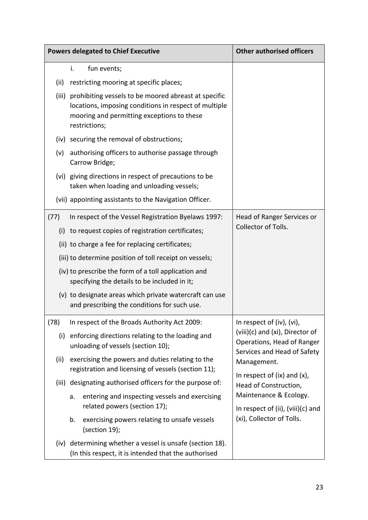|       | <b>Powers delegated to Chief Executive</b>                                                                                                                                         | <b>Other authorised officers</b>                                                                        |  |
|-------|------------------------------------------------------------------------------------------------------------------------------------------------------------------------------------|---------------------------------------------------------------------------------------------------------|--|
|       | i.<br>fun events;                                                                                                                                                                  |                                                                                                         |  |
| (ii)  | restricting mooring at specific places;                                                                                                                                            |                                                                                                         |  |
|       | (iii) prohibiting vessels to be moored abreast at specific<br>locations, imposing conditions in respect of multiple<br>mooring and permitting exceptions to these<br>restrictions; |                                                                                                         |  |
|       | (iv) securing the removal of obstructions;                                                                                                                                         |                                                                                                         |  |
| (v)   | authorising officers to authorise passage through<br>Carrow Bridge;                                                                                                                |                                                                                                         |  |
|       | (vi) giving directions in respect of precautions to be<br>taken when loading and unloading vessels;                                                                                |                                                                                                         |  |
|       | (vii) appointing assistants to the Navigation Officer.                                                                                                                             |                                                                                                         |  |
| (77)  | In respect of the Vessel Registration Byelaws 1997:                                                                                                                                | Head of Ranger Services or                                                                              |  |
|       | (i) to request copies of registration certificates;                                                                                                                                | Collector of Tolls.                                                                                     |  |
|       | (ii) to charge a fee for replacing certificates;                                                                                                                                   |                                                                                                         |  |
|       | (iii) to determine position of toll receipt on vessels;                                                                                                                            |                                                                                                         |  |
|       | (iv) to prescribe the form of a toll application and<br>specifying the details to be included in it;                                                                               |                                                                                                         |  |
|       | (v) to designate areas which private watercraft can use<br>and prescribing the conditions for such use.                                                                            |                                                                                                         |  |
| (78)  | In respect of the Broads Authority Act 2009:                                                                                                                                       | In respect of (iv), (vi),<br>(viii)(c) and (xi), Director of<br>Operations, Head of Ranger              |  |
| (i)   | enforcing directions relating to the loading and<br>unloading of vessels (section 10);                                                                                             |                                                                                                         |  |
| (ii)  | exercising the powers and duties relating to the<br>registration and licensing of vessels (section 11);                                                                            | Services and Head of Safety<br>Management.<br>In respect of $(ix)$ and $(x)$ ,<br>Head of Construction, |  |
| (iii) | designating authorised officers for the purpose of:                                                                                                                                |                                                                                                         |  |
|       | entering and inspecting vessels and exercising<br>a.                                                                                                                               | Maintenance & Ecology.                                                                                  |  |
|       | related powers (section 17);                                                                                                                                                       | In respect of (ii), (viii)(c) and                                                                       |  |
|       | exercising powers relating to unsafe vessels<br>b.<br>(section 19);                                                                                                                | (xi), Collector of Tolls.                                                                               |  |
| (iv)  | determining whether a vessel is unsafe (section 18).<br>(In this respect, it is intended that the authorised                                                                       |                                                                                                         |  |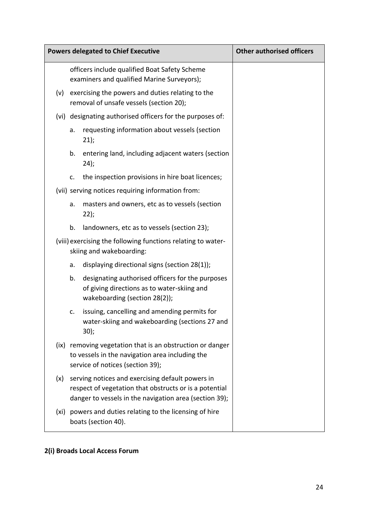| <b>Powers delegated to Chief Executive</b> |                                                                                                                                                                      |                                                                                                                                  | <b>Other authorised officers</b> |
|--------------------------------------------|----------------------------------------------------------------------------------------------------------------------------------------------------------------------|----------------------------------------------------------------------------------------------------------------------------------|----------------------------------|
|                                            |                                                                                                                                                                      | officers include qualified Boat Safety Scheme<br>examiners and qualified Marine Surveyors);                                      |                                  |
| (v)                                        | exercising the powers and duties relating to the<br>removal of unsafe vessels (section 20);                                                                          |                                                                                                                                  |                                  |
|                                            |                                                                                                                                                                      | (vi) designating authorised officers for the purposes of:                                                                        |                                  |
|                                            | a.                                                                                                                                                                   | requesting information about vessels (section<br>21);                                                                            |                                  |
|                                            | b.                                                                                                                                                                   | entering land, including adjacent waters (section<br>24);                                                                        |                                  |
|                                            | $C_{\bullet}$                                                                                                                                                        | the inspection provisions in hire boat licences;                                                                                 |                                  |
|                                            |                                                                                                                                                                      | (vii) serving notices requiring information from:                                                                                |                                  |
|                                            | a.                                                                                                                                                                   | masters and owners, etc as to vessels (section<br>22);                                                                           |                                  |
|                                            | b.                                                                                                                                                                   | landowners, etc as to vessels (section 23);                                                                                      |                                  |
|                                            | (viii) exercising the following functions relating to water-<br>skiing and wakeboarding:                                                                             |                                                                                                                                  |                                  |
|                                            | a.                                                                                                                                                                   | displaying directional signs (section 28(1));                                                                                    |                                  |
|                                            | b.                                                                                                                                                                   | designating authorised officers for the purposes<br>of giving directions as to water-skiing and<br>wakeboarding (section 28(2)); |                                  |
|                                            | c.                                                                                                                                                                   | issuing, cancelling and amending permits for<br>water-skiing and wakeboarding (sections 27 and<br>30);                           |                                  |
|                                            | (ix) removing vegetation that is an obstruction or danger<br>to vessels in the navigation area including the<br>service of notices (section 39);                     |                                                                                                                                  |                                  |
| (x)                                        | serving notices and exercising default powers in<br>respect of vegetation that obstructs or is a potential<br>danger to vessels in the navigation area (section 39); |                                                                                                                                  |                                  |
|                                            | (xi) powers and duties relating to the licensing of hire<br>boats (section 40).                                                                                      |                                                                                                                                  |                                  |

### **2(i) Broads Local Access Forum**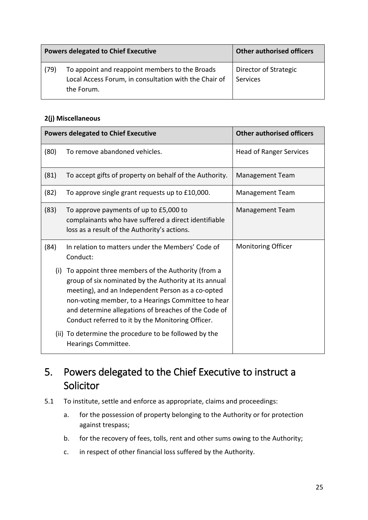| <b>Powers delegated to Chief Executive</b> |                                                                                                                       | <b>Other authorised officers</b>  |
|--------------------------------------------|-----------------------------------------------------------------------------------------------------------------------|-----------------------------------|
| (79)                                       | To appoint and reappoint members to the Broads<br>Local Access Forum, in consultation with the Chair of<br>the Forum. | Director of Strategic<br>Services |

#### **2(j) Miscellaneous**

|      | <b>Powers delegated to Chief Executive</b>                                                                                                                                                                                                                                                                                         | <b>Other authorised officers</b> |
|------|------------------------------------------------------------------------------------------------------------------------------------------------------------------------------------------------------------------------------------------------------------------------------------------------------------------------------------|----------------------------------|
| (80) | To remove abandoned vehicles.                                                                                                                                                                                                                                                                                                      | <b>Head of Ranger Services</b>   |
| (81) | To accept gifts of property on behalf of the Authority.                                                                                                                                                                                                                                                                            | <b>Management Team</b>           |
| (82) | To approve single grant requests up to £10,000.                                                                                                                                                                                                                                                                                    | <b>Management Team</b>           |
| (83) | To approve payments of up to £5,000 to<br>complainants who have suffered a direct identifiable<br>loss as a result of the Authority's actions.                                                                                                                                                                                     | <b>Management Team</b>           |
| (84) | In relation to matters under the Members' Code of<br>Conduct:                                                                                                                                                                                                                                                                      | <b>Monitoring Officer</b>        |
| (i)  | To appoint three members of the Authority (from a<br>group of six nominated by the Authority at its annual<br>meeting), and an Independent Person as a co-opted<br>non-voting member, to a Hearings Committee to hear<br>and determine allegations of breaches of the Code of<br>Conduct referred to it by the Monitoring Officer. |                                  |
|      | (ii) To determine the procedure to be followed by the<br>Hearings Committee.                                                                                                                                                                                                                                                       |                                  |

## <span id="page-24-0"></span>5. Powers delegated to the Chief Executive to instruct a Solicitor

- 5.1 To institute, settle and enforce as appropriate, claims and proceedings:
	- a. for the possession of property belonging to the Authority or for protection against trespass;
	- b. for the recovery of fees, tolls, rent and other sums owing to the Authority;
	- c. in respect of other financial loss suffered by the Authority.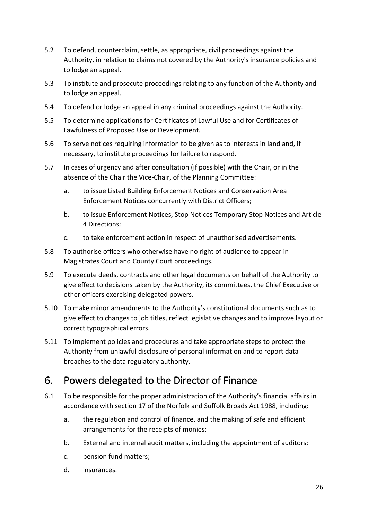- 5.2 To defend, counterclaim, settle, as appropriate, civil proceedings against the Authority, in relation to claims not covered by the Authority's insurance policies and to lodge an appeal.
- 5.3 To institute and prosecute proceedings relating to any function of the Authority and to lodge an appeal.
- 5.4 To defend or lodge an appeal in any criminal proceedings against the Authority.
- 5.5 To determine applications for Certificates of Lawful Use and for Certificates of Lawfulness of Proposed Use or Development.
- 5.6 To serve notices requiring information to be given as to interests in land and, if necessary, to institute proceedings for failure to respond.
- 5.7 In cases of urgency and after consultation (if possible) with the Chair, or in the absence of the Chair the Vice-Chair, of the Planning Committee:
	- a. to issue Listed Building Enforcement Notices and Conservation Area Enforcement Notices concurrently with District Officers;
	- b. to issue Enforcement Notices, Stop Notices Temporary Stop Notices and Article 4 Directions;
	- c. to take enforcement action in respect of unauthorised advertisements.
- 5.8 To authorise officers who otherwise have no right of audience to appear in Magistrates Court and County Court proceedings.
- 5.9 To execute deeds, contracts and other legal documents on behalf of the Authority to give effect to decisions taken by the Authority, its committees, the Chief Executive or other officers exercising delegated powers.
- 5.10 To make minor amendments to the Authority's constitutional documents such as to give effect to changes to job titles, reflect legislative changes and to improve layout or correct typographical errors.
- 5.11 To implement policies and procedures and take appropriate steps to protect the Authority from unlawful disclosure of personal information and to report data breaches to the data regulatory authority.

## <span id="page-25-0"></span>6. Powers delegated to the Director of Finance

- 6.1 To be responsible for the proper administration of the Authority's financial affairs in accordance with section 17 of the Norfolk and Suffolk Broads Act 1988, including:
	- a. the regulation and control of finance, and the making of safe and efficient arrangements for the receipts of monies;
	- b. External and internal audit matters, including the appointment of auditors;
	- c. pension fund matters;
	- d. insurances.